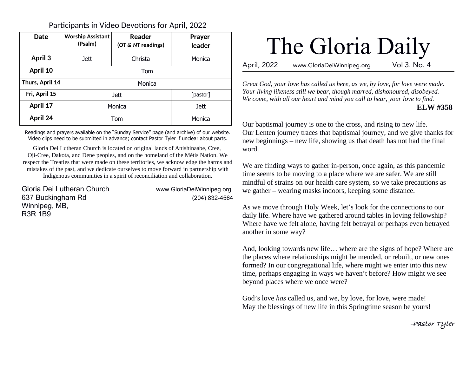Participants in Video Devotions for April, 2022

| Date            | <b>Worship Assistant</b><br>(Psalm) | Reader<br>(OT & NT readings) | <b>Prayer</b><br>leader |
|-----------------|-------------------------------------|------------------------------|-------------------------|
| April 3         | Jett                                | Christa                      | Monica                  |
| April 10        | Tom                                 |                              |                         |
| Thurs, April 14 | Monica                              |                              |                         |
| Fri, April 15   | Jett                                |                              | [pastor]                |
| April 17        | Monica                              |                              | Jett                    |
| April 24        | Tom                                 |                              | Monica                  |

Readings and prayers available on the "Sunday Service" page (and archive) of our website. Video clips need to be submitted in advance; contact Pastor Tyler if unclear about parts.

Gloria Dei Lutheran Church is located on original lands of Anishinaabe, Cree, Oji-Cree, Dakota, and Dene peoples, and on the homeland of the Métis Nation. We respect the Treaties that were made on these territories, we acknowledge the harms and mistakes of the past, and we dedicate ourselves to move forward in partnership with Indigenous communities in a spirit of reconciliation and collaboration.

Gloria Dei Lutheran Church www.GloriaDeiWinnipeg.org 637 Buckingham Rd (204) 832-4564 Winnipeg, MB, R3R 1B9

# The Gloria Daily

April, 2022 www.GloriaDeiWinnipeg.org Vol 3. No. 4

*Great God, your love has called us here, as we, by love, for love were made. Your living likeness still we bear, though marred, dishonoured, disobeyed. We come, with all our heart and mind you call to hear, your love to find.* **ELW #358**

Our baptismal journey is one to the cross, and rising to new life. Our Lenten journey traces that baptismal journey, and we give thanks for new beginnings – new life, showing us that death has not had the final word.

We are finding ways to gather in-person, once again, as this pandemic time seems to be moving to a place where we are safer. We are still mindful of strains on our health care system, so we take precautions as we gather – wearing masks indoors, keeping some distance.

As we move through Holy Week, let's look for the connections to our daily life. Where have we gathered around tables in loving fellowship? Where have we felt alone, having felt betrayal or perhaps even betrayed another in some way?

And, looking towards new life… where are the signs of hope? Where are the places where relationships might be mended, or rebuilt, or new ones formed? In our congregational life, where might we enter into this new time, perhaps engaging in ways we haven't before? How might we see beyond places where we once were?

God's love *has* called us, and we, by love, for love, were made! May the blessings of new life in this Springtime season be yours!

**-Pastor Tyler**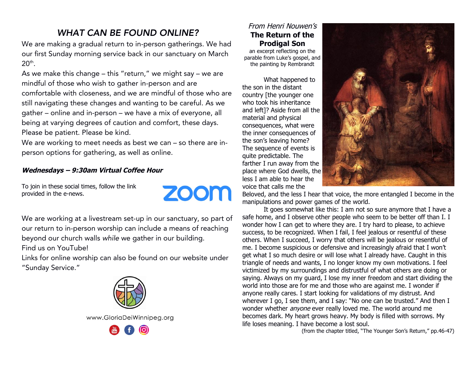#### WHAT CAN BE FOUND ONLINE?

We are making a gradual return to in-person gatherings. We had our first Sunday morning service back in our sanctuary on March  $20<sup>th</sup>$ .

As we make this change – this "return," we might say – we are mindful of those who wish to gather in-person and are comfortable with closeness, and we are mindful of those who are still navigating these changes and wanting to be careful. As we gather – online and in-person – we have a mix of everyone, all being at varying degrees of caution and comfort, these days. Please be patient. Please be kind.

We are working to meet needs as best we can – so there are inperson options for gathering, as well as online.

#### **Wednesdays – 9:30am Virtual Coffee Hour**

To join in these social times, follow the link provided in the e-news.

**ZOOM** 

We are working at a livestream set-up in our sanctuary, so part of our return to in-person worship can include a means of reaching beyond our church walls while we gather in our building. Find us on YouTube!

Links for online worship can also be found on our website under "Sunday Service."



www.GloriaDeiWinnipeg.org



an excerpt reflecting on the parable from Luke's gospel, and the painting by Rembrandt

What happened to the son in the distant country [the younger one who took his inheritance and left]? Aside from all the material and physical consequences, what were the inner consequences of the son's leaving home? The sequence of events is quite predictable. The farther I run away from the place where God dwells, the less I am able to hear the voice that calls me the



Beloved, and the less I hear that voice, the more entangled I become in the manipulations and power games of the world.

It goes somewhat like this: I am not so sure anymore that I have a safe home, and I observe other people who seem to be better off than I. I wonder how I can get to where they are. I try hard to please, to achieve success, to be recognized. When I fail, I feel jealous or resentful of these others. When I succeed, I worry that others will be jealous or resentful of me. I become suspicious or defensive and increasingly afraid that I won't get what I so much desire or will lose what I already have. Caught in this triangle of needs and wants, I no longer know my own motivations. I feel victimized by my surroundings and distrustful of what others are doing or saying. Always on my guard, I lose my inner freedom and start dividing the world into those are for me and those who are against me. I wonder if anyone really cares. I start looking for validations of my distrust. And wherever I go, I see them, and I say: "No one can be trusted." And then I wonder whether anyone ever really loved me. The world around me becomes dark. My heart grows heavy. My body is filled with sorrows. My life loses meaning. I have become a lost soul.

(from the chapter titled, "The Younger Son's Return," pp.46-47)